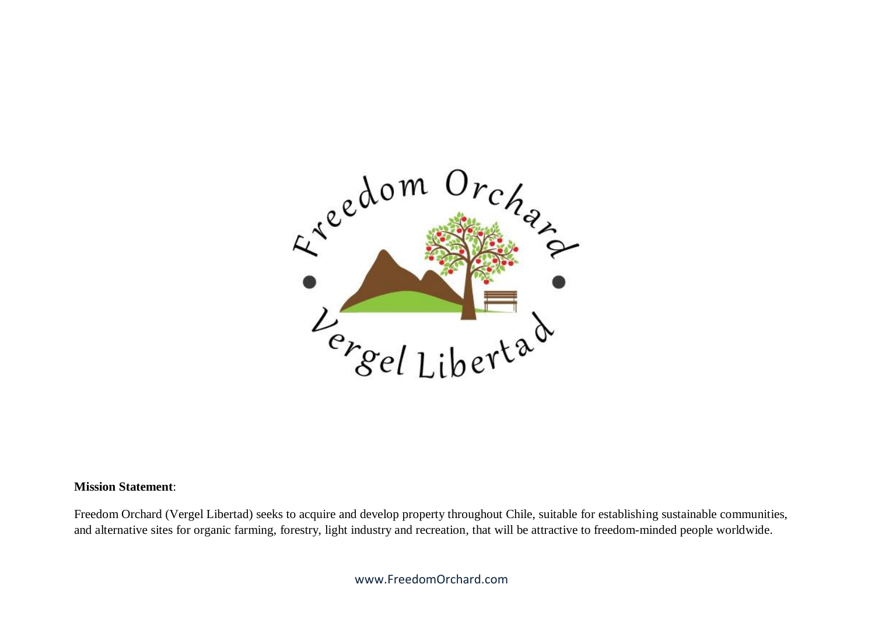

## **Mission Statement**:

Freedom Orchard (Vergel Libertad) seeks to acquire and develop property throughout Chile, suitable for establishing sustainable communities, and alternative sites for organic farming, forestry, light industry and recreation, that will be attractive to freedom-minded people worldwide.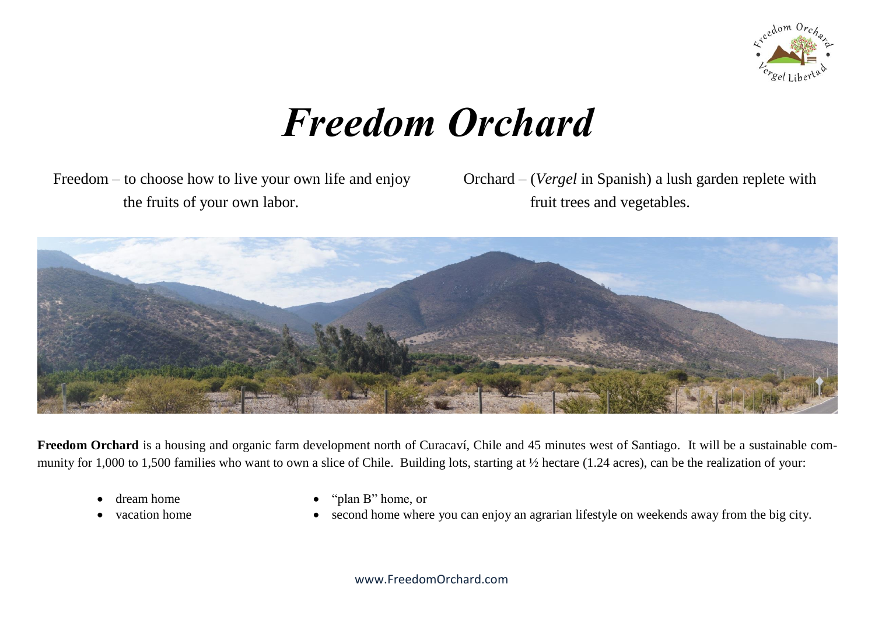

# *Freedom Orchard*

 Freedom – to choose how to live your own life and enjoy the fruits of your own labor.

Orchard – (*Vergel* in Spanish) a lush garden replete with fruit trees and vegetables.



**Freedom Orchard** is a housing and organic farm development north of Curacaví, Chile and 45 minutes west of Santiago. It will be a sustainable community for 1,000 to 1,500 families who want to own a slice of Chile. Building lots, starting at  $\frac{1}{2}$  hectare (1.24 acres), can be the realization of your:

- dream home
- vacation home
- "plan B" home, or
- second home where you can enjoy an agrarian lifestyle on weekends away from the big city.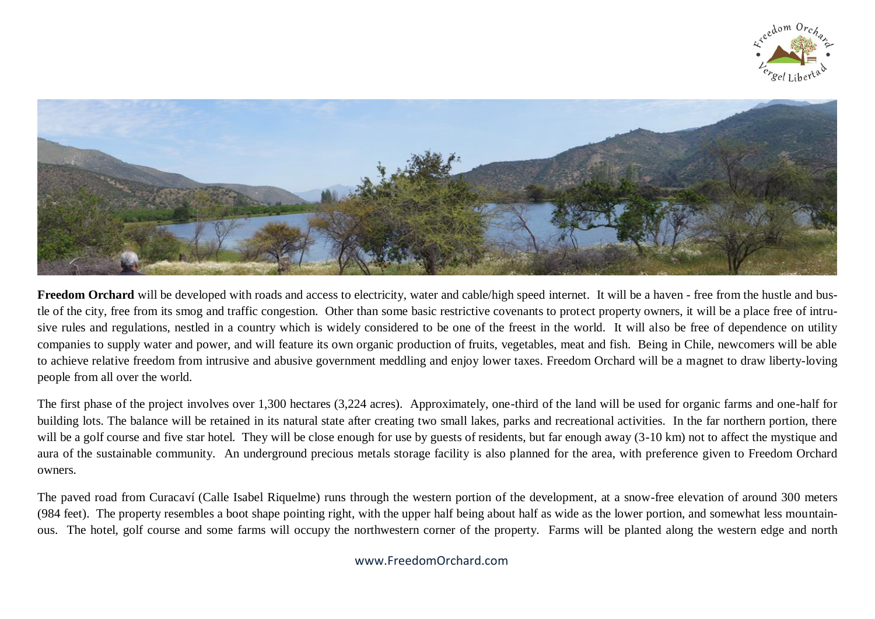



Freedom Orchard will be developed with roads and access to electricity, water and cable/high speed internet. It will be a haven - free from the hustle and bustle of the city, free from its smog and traffic congestion. Other than some basic restrictive covenants to protect property owners, it will be a place free of intrusive rules and regulations, nestled in a country which is widely considered to be one of the freest in the world. It will also be free of dependence on utility companies to supply water and power, and will feature its own organic production of fruits, vegetables, meat and fish. Being in Chile, newcomers will be able to achieve relative freedom from intrusive and abusive government meddling and enjoy lower taxes. Freedom Orchard will be a magnet to draw liberty-loving people from all over the world.

The first phase of the project involves over 1,300 hectares (3,224 acres). Approximately, one-third of the land will be used for organic farms and one-half for building lots. The balance will be retained in its natural state after creating two small lakes, parks and recreational activities. In the far northern portion, there will be a golf course and five star hotel. They will be close enough for use by guests of residents, but far enough away (3-10 km) not to affect the mystique and aura of the sustainable community. An underground precious metals storage facility is also planned for the area, with preference given to Freedom Orchard owners.

The paved road from Curacaví (Calle Isabel Riquelme) runs through the western portion of the development, at a snow-free elevation of around 300 meters (984 feet). The property resembles a boot shape pointing right, with the upper half being about half as wide as the lower portion, and somewhat less mountainous. The hotel, golf course and some farms will occupy the northwestern corner of the property. Farms will be planted along the western edge and north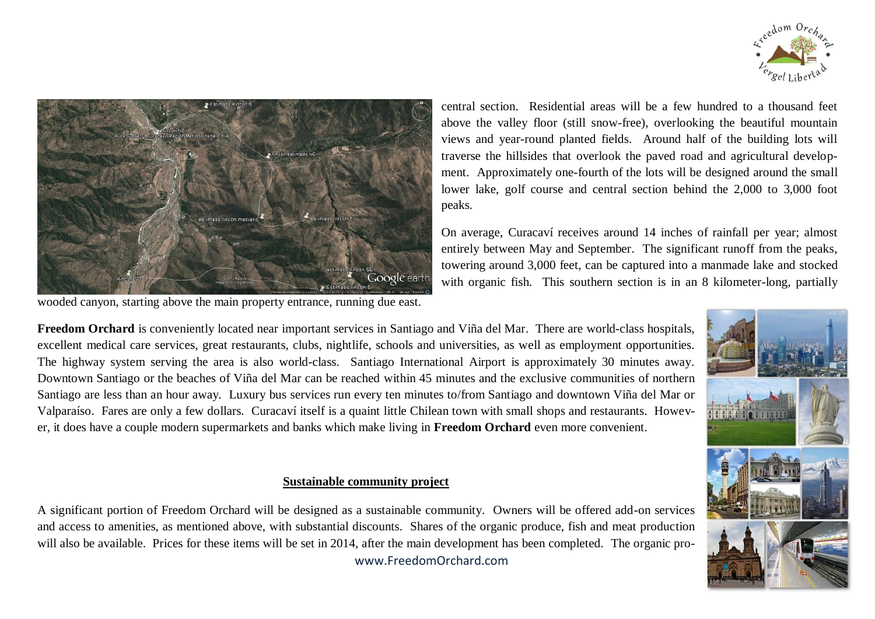



wooded canyon, starting above the main property entrance, running due east.

central section. Residential areas will be a few hundred to a thousand feet above the valley floor (still snow-free), overlooking the beautiful mountain views and year-round planted fields. Around half of the building lots will traverse the hillsides that overlook the paved road and agricultural development. Approximately one-fourth of the lots will be designed around the small lower lake, golf course and central section behind the 2,000 to 3,000 foot peaks.

On average, Curacaví receives around 14 inches of rainfall per year; almost entirely between May and September. The significant runoff from the peaks, towering around 3,000 feet, can be captured into a manmade lake and stocked with organic fish. This southern section is in an 8 kilometer-long, partially

**Freedom Orchard** is conveniently located near important services in Santiago and Viña del Mar. There are world-class hospitals, excellent medical care services, great restaurants, clubs, nightlife, schools and universities, as well as employment opportunities. The highway system serving the area is also world-class. Santiago International Airport is approximately 30 minutes away. Downtown Santiago or the beaches of Viña del Mar can be reached within 45 minutes and the exclusive communities of northern Santiago are less than an hour away. Luxury bus services run every ten minutes to/from Santiago and downtown Viña del Mar or Valparaíso. Fares are only a few dollars. Curacaví itself is a quaint little Chilean town with small shops and restaurants. However, it does have a couple modern supermarkets and banks which make living in **Freedom Orchard** even more convenient.

## **Sustainable community project**

 www.FreedomOrchard.com A significant portion of Freedom Orchard will be designed as a sustainable community. Owners will be offered add-on services and access to amenities, as mentioned above, with substantial discounts. Shares of the organic produce, fish and meat production will also be available. Prices for these items will be set in 2014, after the main development has been completed. The organic pro-

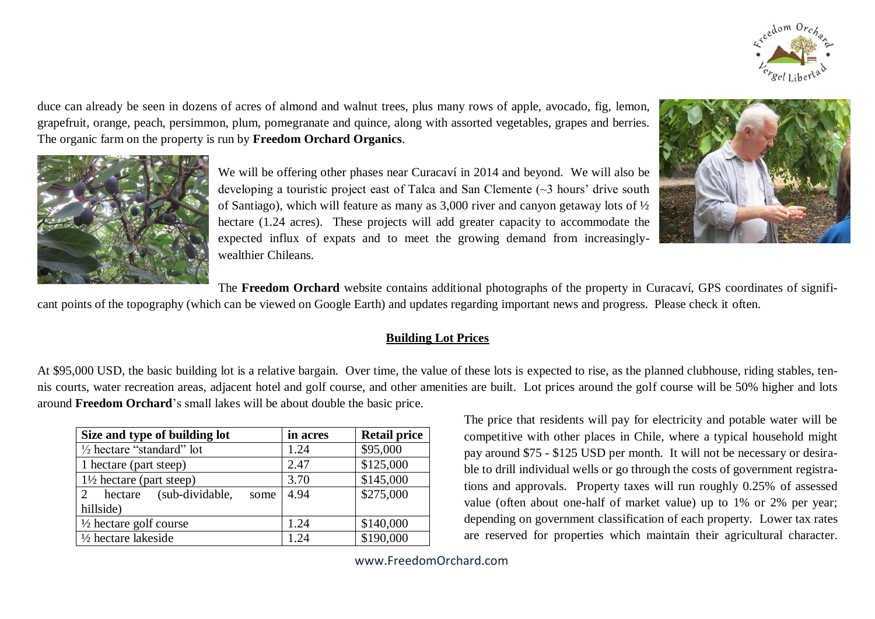

duce can already be seen in dozens of acres of almond and walnut trees, plus many rows of apple, avocado, fig, lemon, grapefruit, orange, peach, persimmon, plum, pomegranate and quince, along with assorted vegetables, grapes and berries. The organic farm on the property is run by **Freedom Orchard Organics**.



We will be offering other phases near Curacaví in 2014 and beyond. We will also be developing a touristic project east of Talca and San Clemente (~3 hours' drive south of Santiago), which will feature as many as 3,000 river and canyon getaway lots of ½ hectare (1.24 acres). These projects will add greater capacity to accommodate the expected influx of expats and to meet the growing demand from increasinglywealthier Chileans.



The **Freedom Orchard** website contains additional photographs of the property in Curacaví, GPS coordinates of signifi-

cant points of the topography (which can be viewed on Google Earth) and updates regarding important news and progress. Please check it often.

## **Building Lot Prices**

At \$95,000 USD, the basic building lot is a relative bargain. Over time, the value of these lots is expected to rise, as the planned clubhouse, riding stables, tennis courts, water recreation areas, adjacent hotel and golf course, and other amenities are built. Lot prices around the golf course will be 50% higher and lots around **Freedom Orchard**'s small lakes will be about double the basic price.

| Size and type of building lot                                     | in acres | <b>Retail price</b> |
|-------------------------------------------------------------------|----------|---------------------|
| $\frac{1}{2}$ hectare "standard" lot                              | 1.24     | \$95,000            |
| 1 hectare (part steep)                                            | 2.47     | \$125,000           |
| $1\frac{1}{2}$ hectare (part steep)                               | 3.70     | \$145,000           |
| (sub-dividable,<br>hectare<br>$\mathcal{D}_{\mathcal{A}}$<br>some | 4.94     | \$275,000           |
| hillside)                                                         |          |                     |
| $\frac{1}{2}$ hectare golf course                                 | 1.24     | \$140,000           |
| $\frac{1}{2}$ hectare lakeside                                    | 1 24     | \$190,000           |

The price that residents will pay for electricity and potable water will be competitive with other places in Chile, where a typical household might pay around \$75 - \$125 USD per month. It will not be necessary or desirable to drill individual wells or go through the costs of government registrations and approvals. Property taxes will run roughly 0.25% of assessed value (often about one-half of market value) up to 1% or 2% per year; depending on government classification of each property. Lower tax rates are reserved for properties which maintain their agricultural character.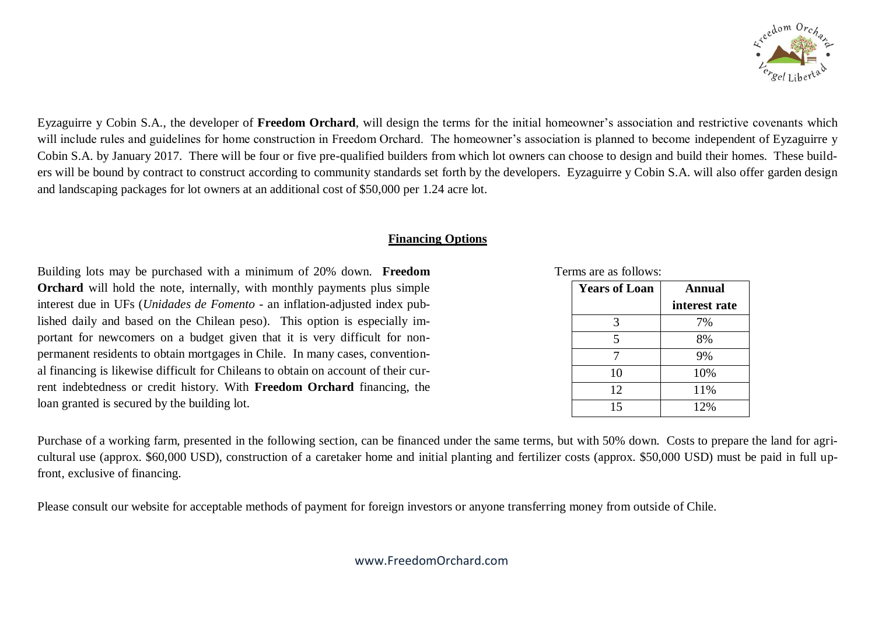

Eyzaguirre y Cobin S.A., the developer of **Freedom Orchard**, will design the terms for the initial homeowner's association and restrictive covenants which will include rules and guidelines for home construction in Freedom Orchard. The homeowner's association is planned to become independent of Eyzaguirre y Cobin S.A. by January 2017. There will be four or five pre-qualified builders from which lot owners can choose to design and build their homes. These builders will be bound by contract to construct according to community standards set forth by the developers. Eyzaguirre y Cobin S.A. will also offer garden design and landscaping packages for lot owners at an additional cost of \$50,000 per 1.24 acre lot.

## **Financing Options**

Building lots may be purchased with a minimum of 20% down. **Freedom Orchard** will hold the note, internally, with monthly payments plus simple interest due in UFs (*Unidades de Fomento* - an inflation-adjusted index published daily and based on the Chilean peso). This option is especially important for newcomers on a budget given that it is very difficult for nonpermanent residents to obtain mortgages in Chile. In many cases, conventional financing is likewise difficult for Chileans to obtain on account of their current indebtedness or credit history. With **Freedom Orchard** financing, the loan granted is secured by the building lot.

#### Terms are as follows:

| <b>Years of Loan</b> | Annual        |  |
|----------------------|---------------|--|
|                      | interest rate |  |
| 3                    | 7%            |  |
| 5                    | 8%            |  |
|                      | 9%            |  |
| 10                   | 10%           |  |
| 12                   | 11%           |  |
| 15                   | 12%           |  |

Purchase of a working farm, presented in the following section, can be financed under the same terms, but with 50% down. Costs to prepare the land for agricultural use (approx. \$60,000 USD), construction of a caretaker home and initial planting and fertilizer costs (approx. \$50,000 USD) must be paid in full upfront, exclusive of financing.

Please consult our website for acceptable methods of payment for foreign investors or anyone transferring money from outside of Chile.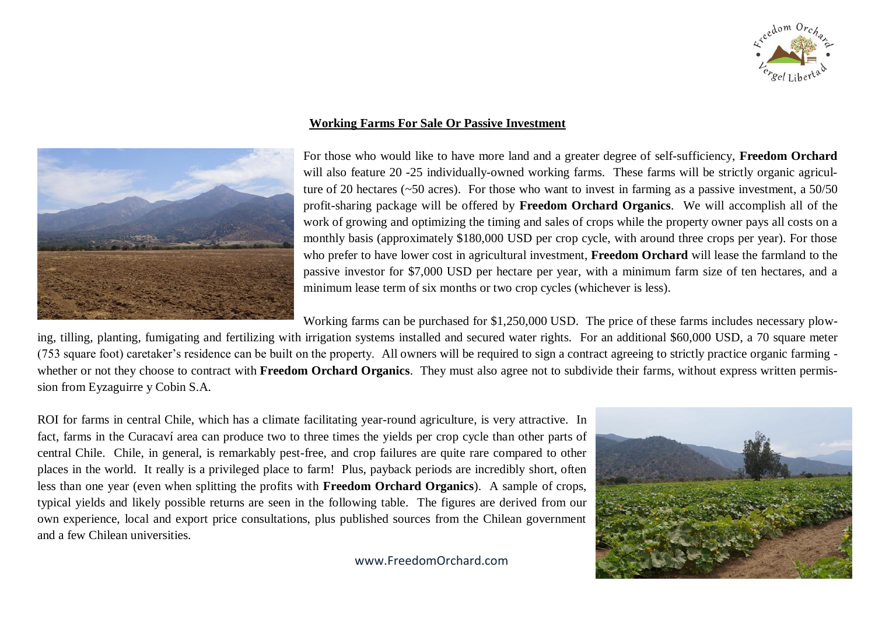



## **Working Farms For Sale Or Passive Investment**

For those who would like to have more land and a greater degree of self-sufficiency, **Freedom Orchard** will also feature 20 -25 individually-owned working farms. These farms will be strictly organic agriculture of 20 hectares (~50 acres). For those who want to invest in farming as a passive investment, a 50/50 profit-sharing package will be offered by **Freedom Orchard Organics**. We will accomplish all of the work of growing and optimizing the timing and sales of crops while the property owner pays all costs on a monthly basis (approximately \$180,000 USD per crop cycle, with around three crops per year). For those who prefer to have lower cost in agricultural investment, **Freedom Orchard** will lease the farmland to the passive investor for \$7,000 USD per hectare per year, with a minimum farm size of ten hectares, and a minimum lease term of six months or two crop cycles (whichever is less).

Working farms can be purchased for \$1,250,000 USD. The price of these farms includes necessary plow-

ing, tilling, planting, fumigating and fertilizing with irrigation systems installed and secured water rights. For an additional \$60,000 USD, a 70 square meter (753 square foot) caretaker's residence can be built on the property. All owners will be required to sign a contract agreeing to strictly practice organic farming whether or not they choose to contract with **Freedom Orchard Organics**. They must also agree not to subdivide their farms, without express written permission from Eyzaguirre y Cobin S.A.

ROI for farms in central Chile, which has a climate facilitating year-round agriculture, is very attractive. In fact, farms in the Curacaví area can produce two to three times the yields per crop cycle than other parts of central Chile. Chile, in general, is remarkably pest-free, and crop failures are quite rare compared to other places in the world. It really is a privileged place to farm! Plus, payback periods are incredibly short, often less than one year (even when splitting the profits with **Freedom Orchard Organics**). A sample of crops, typical yields and likely possible returns are seen in the following table. The figures are derived from our own experience, local and export price consultations, plus published sources from the Chilean government and a few Chilean universities.

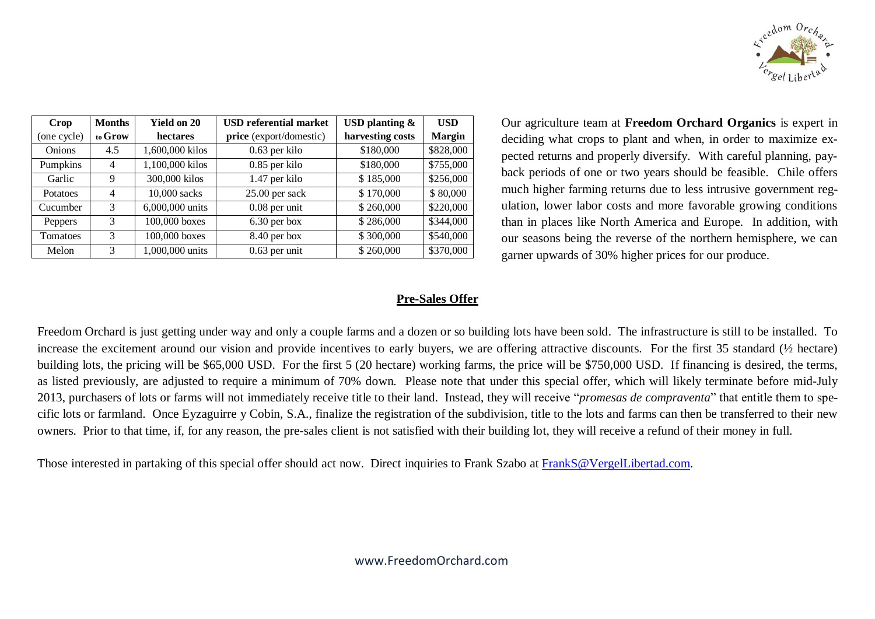

| Crop            | <b>Months</b> | <b>Yield on 20</b> | <b>USD</b> referential market | USD planting $\&$ | <b>USD</b>    |
|-----------------|---------------|--------------------|-------------------------------|-------------------|---------------|
| (one cycle)     | to Grow       | hectares           | price (export/domestic)       | harvesting costs  | <b>Margin</b> |
| <b>Onions</b>   | 4.5           | 1,600,000 kilos    | $0.63$ per kilo               | \$180,000         | \$828,000     |
| Pumpkins        | 4             | 1,100,000 kilos    | $0.85$ per kilo               | \$180,000         | \$755,000     |
| Garlic          | 9             | 300,000 kilos      | 1.47 per kilo                 | \$185,000         | \$256,000     |
| <b>Potatoes</b> | 4             | 10,000 sacks       | $25.00$ per sack              | \$170,000         | \$80,000      |
| Cucumber        | 3             | 6,000,000 units    | $0.08$ per unit               | \$260,000         | \$220,000     |
| Peppers         | 3             | 100,000 boxes      | $6.30$ per box                | \$286,000         | \$344,000     |
| <b>Tomatoes</b> | 3             | 100,000 boxes      | 8.40 per box                  | \$300,000         | \$540,000     |
| Melon           | 3             | 1,000,000 units    | $0.63$ per unit               | \$260,000         | \$370,000     |

Our agriculture team at **Freedom Orchard Organics** is expert in deciding what crops to plant and when, in order to maximize expected returns and properly diversify. With careful planning, payback periods of one or two years should be feasible. Chile offers much higher farming returns due to less intrusive government regulation, lower labor costs and more favorable growing conditions than in places like North America and Europe. In addition, with our seasons being the reverse of the northern hemisphere, we can garner upwards of 30% higher prices for our produce.

# **Pre-Sales Offer**

Freedom Orchard is just getting under way and only a couple farms and a dozen or so building lots have been sold. The infrastructure is still to be installed. To increase the excitement around our vision and provide incentives to early buyers, we are offering attractive discounts. For the first 35 standard (½ hectare) building lots, the pricing will be \$65,000 USD. For the first 5 (20 hectare) working farms, the price will be \$750,000 USD. If financing is desired, the terms, as listed previously, are adjusted to require a minimum of 70% down. Please note that under this special offer, which will likely terminate before mid-July 2013, purchasers of lots or farms will not immediately receive title to their land. Instead, they will receive "*promesas de compraventa*" that entitle them to specific lots or farmland. Once Eyzaguirre y Cobin, S.A., finalize the registration of the subdivision, title to the lots and farms can then be transferred to their new owners. Prior to that time, if, for any reason, the pre-sales client is not satisfied with their building lot, they will receive a refund of their money in full.

Those interested in partaking of this special offer should act now. Direct inquiries to Frank Szabo at [FrankS@VergelLibertad.com.](mailto:FrankS@VergelLibertad.com)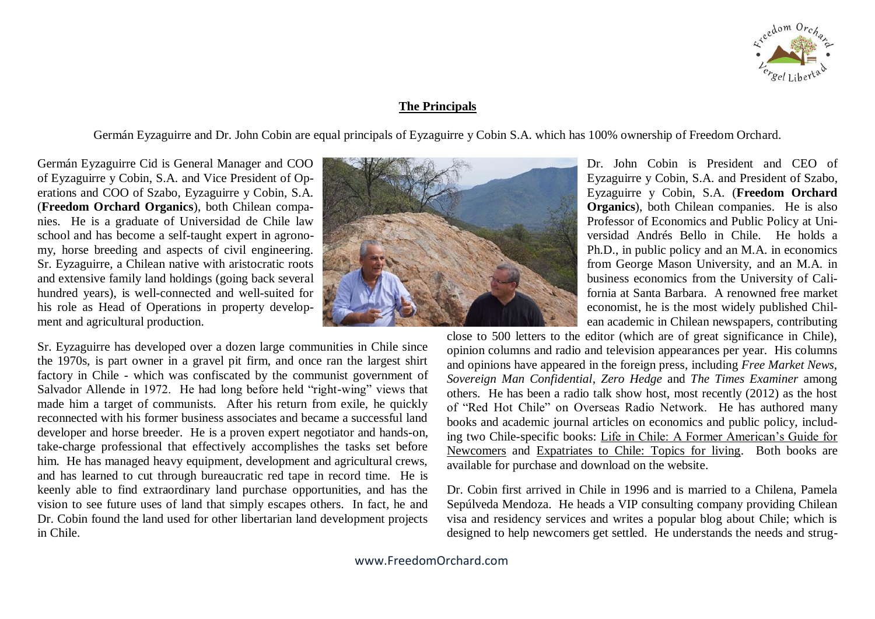

## **The Principals**

Germán Eyzaguirre and Dr. John Cobin are equal principals of Eyzaguirre y Cobin S.A. which has 100% ownership of Freedom Orchard.

Germán Eyzaguirre Cid is General Manager and COO of Eyzaguirre y Cobin, S.A. and Vice President of Operations and COO of Szabo, Eyzaguirre y Cobin, S.A. (**Freedom Orchard Organics**), both Chilean companies. He is a graduate of Universidad de Chile law school and has become a self-taught expert in agronomy, horse breeding and aspects of civil engineering. Sr. Eyzaguirre, a Chilean native with aristocratic roots and extensive family land holdings (going back several hundred years), is well-connected and well-suited for his role as Head of Operations in property development and agricultural production.

Sr. Eyzaguirre has developed over a dozen large communities in Chile since the 1970s, is part owner in a gravel pit firm, and once ran the largest shirt factory in Chile - which was confiscated by the communist government of Salvador Allende in 1972. He had long before held "right-wing" views that made him a target of communists. After his return from exile, he quickly reconnected with his former business associates and became a successful land developer and horse breeder. He is a proven expert negotiator and hands-on, take-charge professional that effectively accomplishes the tasks set before him. He has managed heavy equipment, development and agricultural crews, and has learned to cut through bureaucratic red tape in record time. He is keenly able to find extraordinary land purchase opportunities, and has the vision to see future uses of land that simply escapes others. In fact, he and Dr. Cobin found the land used for other libertarian land development projects in Chile.



Dr. John Cobin is President and CEO of Eyzaguirre y Cobin, S.A. and President of Szabo, Eyzaguirre y Cobin, S.A. (**Freedom Orchard Organics**), both Chilean companies. He is also Professor of Economics and Public Policy at Universidad Andrés Bello in Chile. He holds a Ph.D., in public policy and an M.A. in economics from George Mason University, and an M.A. in business economics from the University of California at Santa Barbara. A renowned free market economist, he is the most widely published Chilean academic in Chilean newspapers, contributing

close to 500 letters to the editor (which are of great significance in Chile), opinion columns and radio and television appearances per year. His columns and opinions have appeared in the foreign press, including *Free Market News*, *Sovereign Man Confidential*, *Zero Hedge* and *The Times Examiner* among others. He has been a radio talk show host, most recently (2012) as the host of "Red Hot Chile" on Overseas Radio Network. He has authored many books and academic journal articles on economics and public policy, including two Chile-specific books: Life in Chile: A Former American's Guide for Newcomers and Expatriates to Chile: Topics for living. Both books are available for purchase and download on the website.

Dr. Cobin first arrived in Chile in 1996 and is married to a Chilena, Pamela Sepúlveda Mendoza. He heads a VIP consulting company providing Chilean visa and residency services and writes a popular blog about Chile; which is designed to help newcomers get settled. He understands the needs and strug-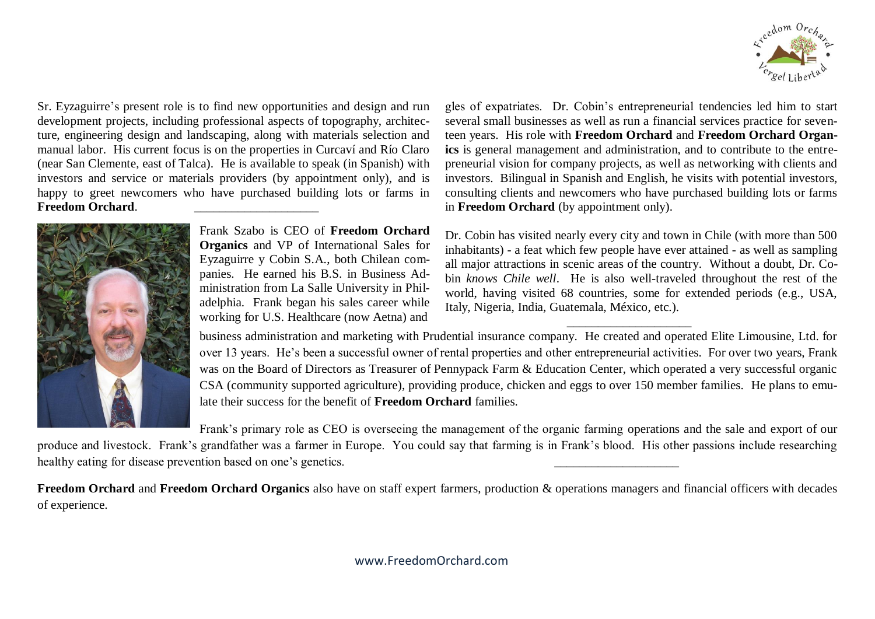

Sr. Eyzaguirre's present role is to find new opportunities and design and run development projects, including professional aspects of topography, architecture, engineering design and landscaping, along with materials selection and manual labor. His current focus is on the properties in Curcaví and Río Claro (near San Clemente, east of Talca). He is available to speak (in Spanish) with investors and service or materials providers (by appointment only), and is happy to greet newcomers who have purchased building lots or farms in Freedom Orchard.



Frank Szabo is CEO of **Freedom Orchard Organics** and VP of International Sales for Eyzaguirre y Cobin S.A., both Chilean companies. He earned his B.S. in Business Administration from La Salle University in Philadelphia. Frank began his sales career while working for U.S. Healthcare (now Aetna) and

gles of expatriates. Dr. Cobin's entrepreneurial tendencies led him to start several small businesses as well as run a financial services practice for seventeen years. His role with **Freedom Orchard** and **Freedom Orchard Organics** is general management and administration, and to contribute to the entrepreneurial vision for company projects, as well as networking with clients and investors. Bilingual in Spanish and English, he visits with potential investors, consulting clients and newcomers who have purchased building lots or farms in **Freedom Orchard** (by appointment only).

Dr. Cobin has visited nearly every city and town in Chile (with more than 500 inhabitants) - a feat which few people have ever attained - as well as sampling all major attractions in scenic areas of the country. Without a doubt, Dr. Cobin *knows Chile well*. He is also well-traveled throughout the rest of the world, having visited 68 countries, some for extended periods (e.g., USA, Italy, Nigeria, India, Guatemala, México, etc.).

business administration and marketing with Prudential insurance company. He created and operated Elite Limousine, Ltd. for over 13 years. He's been a successful owner of rental properties and other entrepreneurial activities. For over two years, Frank was on the Board of Directors as Treasurer of Pennypack Farm & Education Center, which operated a very successful organic CSA (community supported agriculture), providing produce, chicken and eggs to over 150 member families. He plans to emulate their success for the benefit of **Freedom Orchard** families.

 $\overline{\phantom{a}}$  , and the set of the set of the set of the set of the set of the set of the set of the set of the set of the set of the set of the set of the set of the set of the set of the set of the set of the set of the s

Frank's primary role as CEO is overseeing the management of the organic farming operations and the sale and export of our

produce and livestock. Frank's grandfather was a farmer in Europe. You could say that farming is in Frank's blood. His other passions include researching healthy eating for disease prevention based on one's genetics.

**Freedom Orchard** and **Freedom Orchard Organics** also have on staff expert farmers, production & operations managers and financial officers with decades of experience.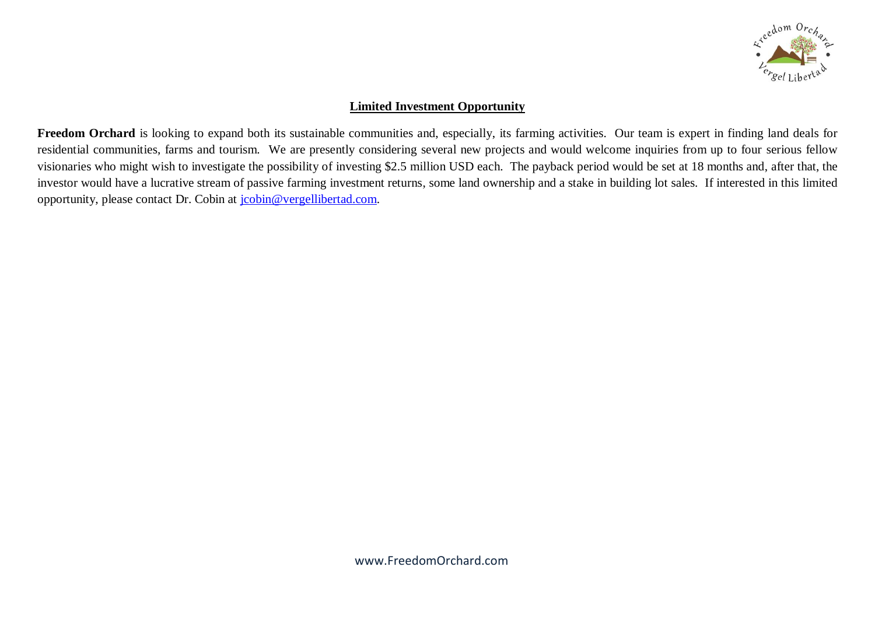

# **Limited Investment Opportunity**

Freedom Orchard is looking to expand both its sustainable communities and, especially, its farming activities. Our team is expert in finding land deals for residential communities, farms and tourism. We are presently considering several new projects and would welcome inquiries from up to four serious fellow visionaries who might wish to investigate the possibility of investing \$2.5 million USD each. The payback period would be set at 18 months and, after that, the investor would have a lucrative stream of passive farming investment returns, some land ownership and a stake in building lot sales. If interested in this limited opportunity, please contact Dr. Cobin at [jcobin@vergellibertad.com.](mailto:jcobin@vergellibertad.com)